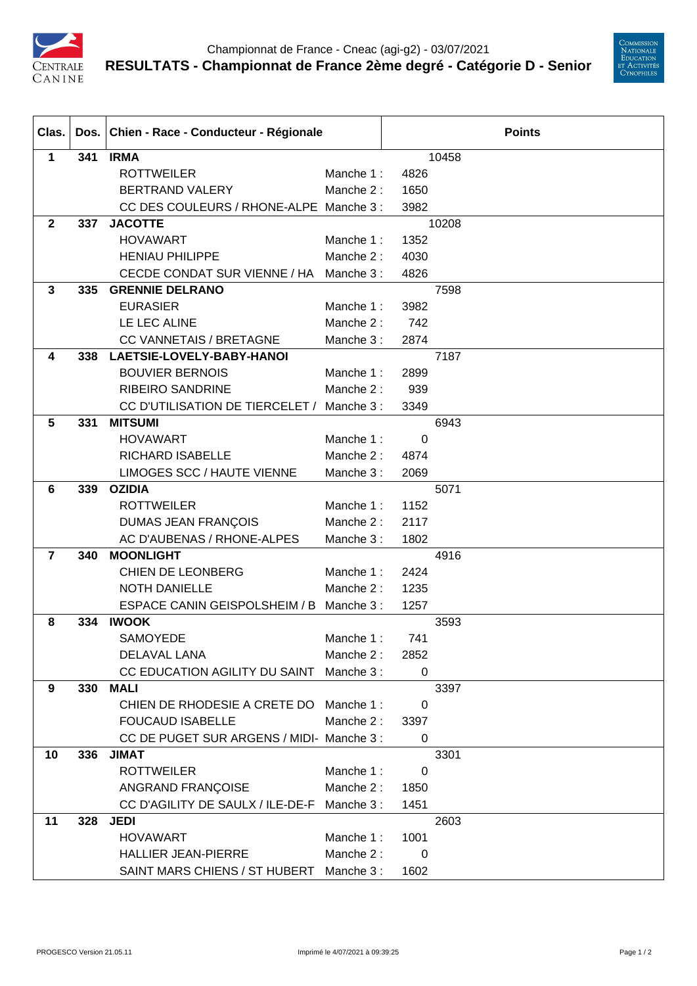



| Clas.          |     | Dos. Chien - Race - Conducteur - Régionale  |           | <b>Points</b> |       |  |
|----------------|-----|---------------------------------------------|-----------|---------------|-------|--|
| $\mathbf{1}$   | 341 | <b>IRMA</b>                                 |           |               | 10458 |  |
|                |     | <b>ROTTWEILER</b>                           | Manche 1: | 4826          |       |  |
|                |     | <b>BERTRAND VALERY</b>                      | Manche 2: | 1650          |       |  |
|                |     | CC DES COULEURS / RHONE-ALPE Manche 3 :     |           | 3982          |       |  |
| $\mathbf{2}$   | 337 | <b>JACOTTE</b>                              |           |               | 10208 |  |
|                |     | <b>HOVAWART</b>                             | Manche 1: | 1352          |       |  |
|                |     | <b>HENIAU PHILIPPE</b>                      | Manche 2: | 4030          |       |  |
|                |     | CECDE CONDAT SUR VIENNE / HA                | Manche 3: | 4826          |       |  |
| $\mathbf{3}$   | 335 | <b>GRENNIE DELRANO</b>                      |           |               | 7598  |  |
|                |     | <b>EURASIER</b>                             | Manche 1: | 3982          |       |  |
|                |     | LE LEC ALINE                                | Manche 2: | 742           |       |  |
|                |     | <b>CC VANNETAIS / BRETAGNE</b>              | Manche 3: | 2874          |       |  |
| 4              | 338 | LAETSIE-LOVELY-BABY-HANOI                   |           |               | 7187  |  |
|                |     | <b>BOUVIER BERNOIS</b>                      | Manche 1: | 2899          |       |  |
|                |     | <b>RIBEIRO SANDRINE</b>                     | Manche 2: | 939           |       |  |
|                |     | CC D'UTILISATION DE TIERCELET /             | Manche 3: | 3349          |       |  |
| $5\phantom{1}$ | 331 | <b>MITSUMI</b>                              |           |               | 6943  |  |
|                |     | <b>HOVAWART</b>                             | Manche 1: | 0             |       |  |
|                |     | <b>RICHARD ISABELLE</b>                     | Manche 2: | 4874          |       |  |
|                |     | LIMOGES SCC / HAUTE VIENNE                  | Manche 3: | 2069          |       |  |
| $6\phantom{1}$ | 339 | <b>OZIDIA</b>                               |           |               | 5071  |  |
|                |     | <b>ROTTWEILER</b>                           | Manche 1: | 1152          |       |  |
|                |     | <b>DUMAS JEAN FRANÇOIS</b>                  | Manche 2: | 2117          |       |  |
|                |     | AC D'AUBENAS / RHONE-ALPES                  | Manche 3: | 1802          |       |  |
| $\overline{7}$ | 340 | <b>MOONLIGHT</b>                            |           |               | 4916  |  |
|                |     | <b>CHIEN DE LEONBERG</b>                    | Manche 1: | 2424          |       |  |
|                |     | <b>NOTH DANIELLE</b>                        | Manche 2: | 1235          |       |  |
|                |     | ESPACE CANIN GEISPOLSHEIM / B               | Manche 3: | 1257          |       |  |
| 8              | 334 | <b>IWOOK</b>                                |           |               | 3593  |  |
|                |     | <b>SAMOYEDE</b>                             | Manche 1: | 741           |       |  |
|                |     | DELAVAL LANA                                | Manche 2: | 2852          |       |  |
|                |     | CC EDUCATION AGILITY DU SAINT               | Manche 3: | $\mathbf 0$   |       |  |
| 9              | 330 | <b>MALI</b>                                 |           |               | 3397  |  |
|                |     | CHIEN DE RHODESIE A CRETE DO                | Manche 1: | 0             |       |  |
|                |     | <b>FOUCAUD ISABELLE</b>                     | Manche 2: | 3397          |       |  |
|                |     | CC DE PUGET SUR ARGENS / MIDI- Manche 3 :   |           | $\mathbf 0$   |       |  |
| 10             | 336 | <b>JIMAT</b>                                |           |               | 3301  |  |
|                |     | <b>ROTTWEILER</b>                           | Manche 1: | 0             |       |  |
|                |     | ANGRAND FRANÇOISE                           | Manche 2: | 1850          |       |  |
|                |     | CC D'AGILITY DE SAULX / ILE-DE-F Manche 3 : |           | 1451          |       |  |
| 11             | 328 | <b>JEDI</b>                                 |           |               | 2603  |  |
|                |     | <b>HOVAWART</b>                             | Manche 1: | 1001          |       |  |
|                |     | <b>HALLIER JEAN-PIERRE</b>                  | Manche 2: | 0             |       |  |
|                |     | SAINT MARS CHIENS / ST HUBERT               | Manche 3: | 1602          |       |  |